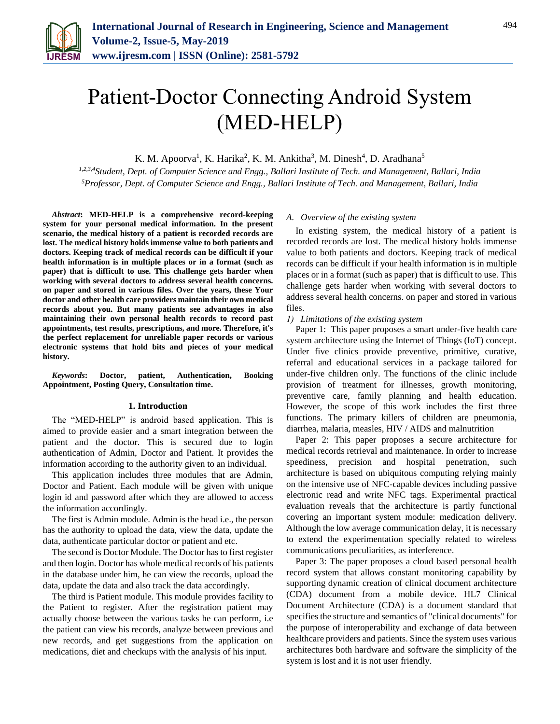

# Patient-Doctor Connecting Android System (MED-HELP)

K. M. Apoorva<sup>1</sup>, K. Harika<sup>2</sup>, K. M. Ankitha<sup>3</sup>, M. Dinesh<sup>4</sup>, D. Aradhana<sup>5</sup>

*1,2,3,4Student, Dept. of Computer Science and Engg., Ballari Institute of Tech. and Management, Ballari, India 5Professor, Dept. of Computer Science and Engg., Ballari Institute of Tech. and Management, Ballari, India*

*Abstract***: MED-HELP is a comprehensive record-keeping system for your personal medical information. In the present scenario, the medical history of a patient is recorded records are lost. The medical history holds immense value to both patients and doctors. Keeping track of medical records can be difficult if your health information is in multiple places or in a format (such as paper) that is difficult to use. This challenge gets harder when working with several doctors to address several health concerns. on paper and stored in various files. Over the years, these Your doctor and other health care providers maintain their own medical records about you. But many patients see advantages in also maintaining their own personal health records to record past appointments, test results, prescriptions, and more. Therefore, it's the perfect replacement for unreliable paper records or various electronic systems that hold bits and pieces of your medical history.**

*Keywords***: Doctor, patient, Authentication, Booking Appointment, Posting Query, Consultation time.**

#### **1. Introduction**

The "MED-HELP" is android based application. This is aimed to provide easier and a smart integration between the patient and the doctor. This is secured due to login authentication of Admin, Doctor and Patient. It provides the information according to the authority given to an individual.

This application includes three modules that are Admin, Doctor and Patient. Each module will be given with unique login id and password after which they are allowed to access the information accordingly.

The first is Admin module. Admin is the head i.e., the person has the authority to upload the data, view the data, update the data, authenticate particular doctor or patient and etc.

The second is Doctor Module. The Doctor has to first register and then login. Doctor has whole medical records of his patients in the database under him, he can view the records, upload the data, update the data and also track the data accordingly.

The third is Patient module. This module provides facility to the Patient to register. After the registration patient may actually choose between the various tasks he can perform, i.e the patient can view his records, analyze between previous and new records, and get suggestions from the application on medications, diet and checkups with the analysis of his input.

#### *A. Overview of the existing system*

In existing system, the medical history of a patient is recorded records are lost. The medical history holds immense value to both patients and doctors. Keeping track of medical records can be difficult if your health information is in multiple places or in a format (such as paper) that is difficult to use. This challenge gets harder when working with several doctors to address several health concerns. on paper and stored in various files.

## *1) Limitations of the existing system*

Paper 1: This paper proposes a smart under-five health care system architecture using the Internet of Things (IoT) concept. Under five clinics provide preventive, primitive, curative, referral and educational services in a package tailored for under-five children only. The functions of the clinic include provision of treatment for illnesses, growth monitoring, preventive care, family planning and health education. However, the scope of this work includes the first three functions. The primary killers of children are pneumonia, diarrhea, malaria, measles, HIV / AIDS and malnutrition

Paper 2: This paper proposes a secure architecture for medical records retrieval and maintenance. In order to increase speediness, precision and hospital penetration, such architecture is based on ubiquitous computing relying mainly on the intensive use of NFC-capable devices including passive electronic read and write NFC tags. Experimental practical evaluation reveals that the architecture is partly functional covering an important system module: medication delivery. Although the low average communication delay, it is necessary to extend the experimentation specially related to wireless communications peculiarities, as interference.

Paper 3: The paper proposes a cloud based personal health record system that allows constant monitoring capability by supporting dynamic creation of clinical document architecture (CDA) document from a mobile device. HL7 Clinical Document Architecture (CDA) is a document standard that specifies the structure and semantics of "clinical documents" for the purpose of interoperability and exchange of data between healthcare providers and patients. Since the system uses various architectures both hardware and software the simplicity of the system is lost and it is not user friendly.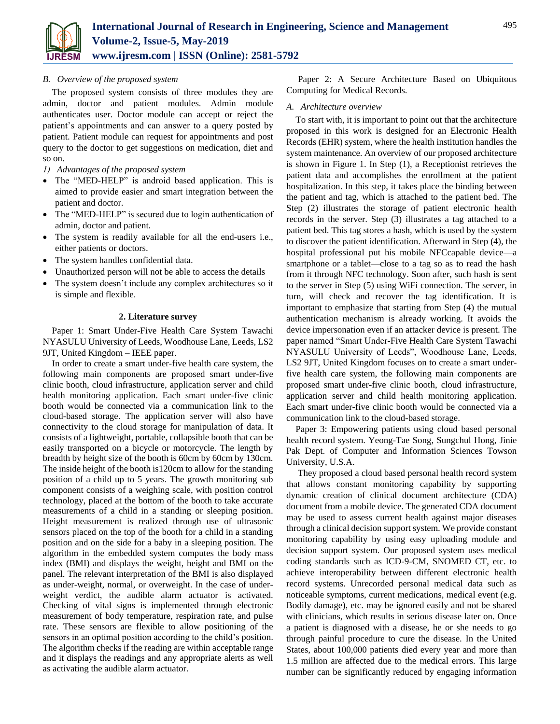

# *B. Overview of the proposed system*

The proposed system consists of three modules they are admin, doctor and patient modules. Admin module authenticates user. Doctor module can accept or reject the patient's appointments and can answer to a query posted by patient. Patient module can request for appointments and post query to the doctor to get suggestions on medication, diet and so on.

- *1) Advantages of the proposed system*
- The "MED-HELP" is android based application. This is aimed to provide easier and smart integration between the patient and doctor.
- The "MED-HELP" is secured due to login authentication of admin, doctor and patient.
- The system is readily available for all the end-users i.e., either patients or doctors.
- The system handles confidential data.
- Unauthorized person will not be able to access the details
- The system doesn't include any complex architectures so it is simple and flexible.

# **2. Literature survey**

Paper 1: Smart Under-Five Health Care System Tawachi NYASULU University of Leeds, Woodhouse Lane, Leeds, LS2 9JT, United Kingdom – IEEE paper.

In order to create a smart under-five health care system, the following main components are proposed smart under-five clinic booth, cloud infrastructure, application server and child health monitoring application. Each smart under-five clinic booth would be connected via a communication link to the cloud-based storage. The application server will also have connectivity to the cloud storage for manipulation of data. It consists of a lightweight, portable, collapsible booth that can be easily transported on a bicycle or motorcycle. The length by breadth by height size of the booth is 60cm by 60cm by 130cm. The inside height of the booth is120cm to allow for the standing position of a child up to 5 years. The growth monitoring sub component consists of a weighing scale, with position control technology, placed at the bottom of the booth to take accurate measurements of a child in a standing or sleeping position. Height measurement is realized through use of ultrasonic sensors placed on the top of the booth for a child in a standing position and on the side for a baby in a sleeping position. The algorithm in the embedded system computes the body mass index (BMI) and displays the weight, height and BMI on the panel. The relevant interpretation of the BMI is also displayed as under-weight, normal, or overweight. In the case of underweight verdict, the audible alarm actuator is activated. Checking of vital signs is implemented through electronic measurement of body temperature, respiration rate, and pulse rate. These sensors are flexible to allow positioning of the sensors in an optimal position according to the child's position. The algorithm checks if the reading are within acceptable range and it displays the readings and any appropriate alerts as well as activating the audible alarm actuator.

Paper 2: A Secure Architecture Based on Ubiquitous Computing for Medical Records.

# *A. Architecture overview*

To start with, it is important to point out that the architecture proposed in this work is designed for an Electronic Health Records (EHR) system, where the health institution handles the system maintenance. An overview of our proposed architecture is shown in Figure 1. In Step (1), a Receptionist retrieves the patient data and accomplishes the enrollment at the patient hospitalization. In this step, it takes place the binding between the patient and tag, which is attached to the patient bed. The Step (2) illustrates the storage of patient electronic health records in the server. Step (3) illustrates a tag attached to a patient bed. This tag stores a hash, which is used by the system to discover the patient identification. Afterward in Step (4), the hospital professional put his mobile NFCcapable device—a smartphone or a tablet—close to a tag so as to read the hash from it through NFC technology. Soon after, such hash is sent to the server in Step (5) using WiFi connection. The server, in turn, will check and recover the tag identification. It is important to emphasize that starting from Step (4) the mutual authentication mechanism is already working. It avoids the device impersonation even if an attacker device is present. The paper named "Smart Under-Five Health Care System Tawachi NYASULU University of Leeds", Woodhouse Lane, Leeds, LS2 9JT, United Kingdom focuses on to create a smart underfive health care system, the following main components are proposed smart under-five clinic booth, cloud infrastructure, application server and child health monitoring application. Each smart under-five clinic booth would be connected via a communication link to the cloud-based storage.

Paper 3: Empowering patients using cloud based personal health record system. Yeong-Tae Song, Sungchul Hong, Jinie Pak Dept. of Computer and Information Sciences Towson University, U.S.A.

They proposed a cloud based personal health record system that allows constant monitoring capability by supporting dynamic creation of clinical document architecture (CDA) document from a mobile device. The generated CDA document may be used to assess current health against major diseases through a clinical decision support system. We provide constant monitoring capability by using easy uploading module and decision support system. Our proposed system uses medical coding standards such as ICD-9-CM, SNOMED CT, etc. to achieve interoperability between different electronic health record systems. Unrecorded personal medical data such as noticeable symptoms, current medications, medical event (e.g. Bodily damage), etc. may be ignored easily and not be shared with clinicians, which results in serious disease later on. Once a patient is diagnosed with a disease, he or she needs to go through painful procedure to cure the disease. In the United States, about 100,000 patients died every year and more than 1.5 million are affected due to the medical errors. This large number can be significantly reduced by engaging information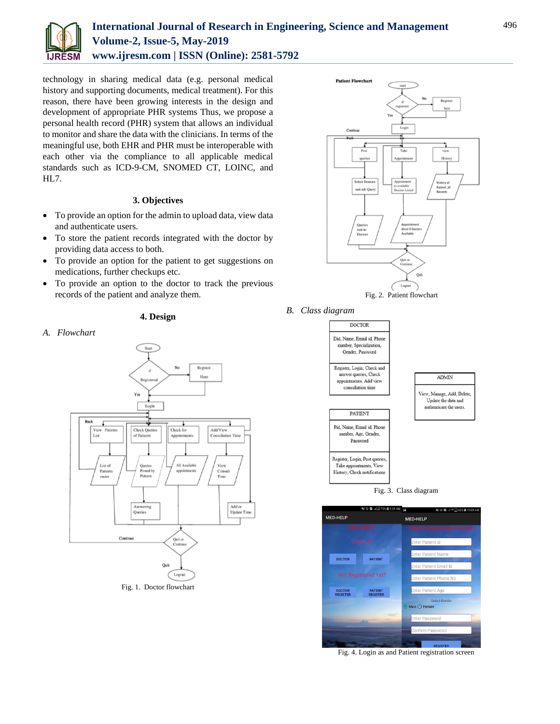

# **International Journal of Research in Engineering, Science and Management Volume-2, Issue-5, May-2019 www.ijresm.com | ISSN (Online): 2581-5792**

technology in sharing medical data (e.g. personal medical history and supporting documents, medical treatment). For this reason, there have been growing interests in the design and development of appropriate PHR systems Thus, we propose a personal health record (PHR) system that allows an individual to monitor and share the data with the clinicians. In terms of the meaningful use, both EHR and PHR must be interoperable with each other via the compliance to all applicable medical standards such as ICD-9-CM, SNOMED CT, LOINC, and HL7.

# **3. Objectives**

- To provide an option for the admin to upload data, view data and authenticate users.
- To store the patient records integrated with the doctor by providing data access to both.
- To provide an option for the patient to get suggestions on medications, further checkups etc.
- To provide an option to the doctor to track the previous records of the patient and analyze them.

# **4. Design**





Fig. 1. Doctor flowchart



*B. Class diagram*





Fig. 4. Login as and Patient registration screen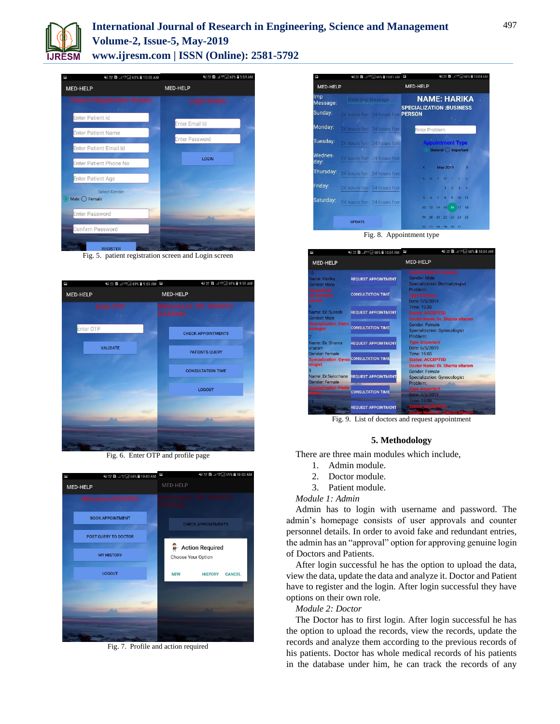

# **International Journal of Research in Engineering, Science and Management Volume-2, Issue-5, May-2019 www.ijresm.com | ISSN (Online): 2581-5792**



Fig. 5. patient registration screen and Login screen



Fig. 6. Enter OTP and profile page



Fig. 7. Profile and action required



Fig. 8. Appointment type



Fig. 9. List of doctors and request appointment

#### **5. Methodology**

There are three main modules which include,

- 1. Admin module.
- 2. Doctor module.
- 3. Patient module.

#### *Module 1: Admin*

Admin has to login with username and password. The admin's homepage consists of user approvals and counter personnel details. In order to avoid fake and redundant entries, the admin has an "approval" option for approving genuine login of Doctors and Patients.

After login successful he has the option to upload the data, view the data, update the data and analyze it. Doctor and Patient have to register and the login. After login successful they have options on their own role.

## *Module 2: Doctor*

The Doctor has to first login. After login successful he has the option to upload the records, view the records, update the records and analyze them according to the previous records of his patients. Doctor has whole medical records of his patients in the database under him, he can track the records of any